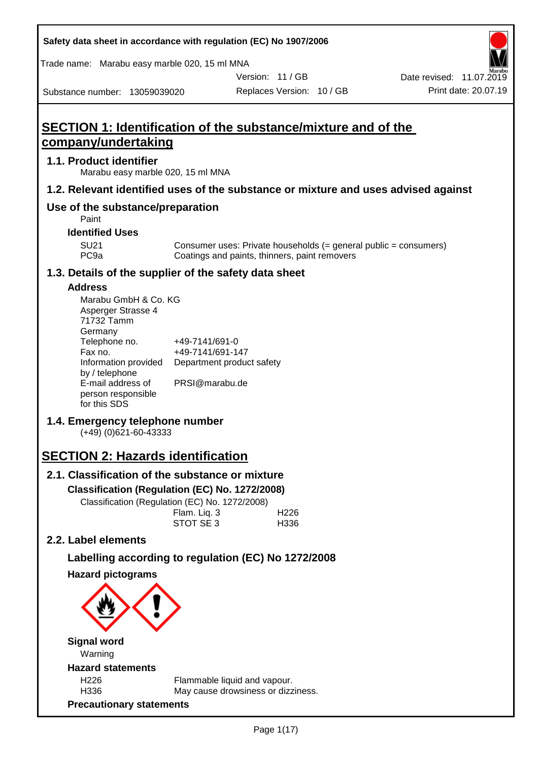|                               |                                     |                                 | Trade name: Marabu easy marble 020, 15 ml MNA                        |                           |                          |                                                                                    |
|-------------------------------|-------------------------------------|---------------------------------|----------------------------------------------------------------------|---------------------------|--------------------------|------------------------------------------------------------------------------------|
|                               |                                     |                                 |                                                                      | Version: 11/GB            |                          | Date revised: 11.07.2019                                                           |
| Substance number: 13059039020 |                                     |                                 |                                                                      | Replaces Version: 10 / GB |                          | Print date: 20.07.19                                                               |
|                               |                                     |                                 |                                                                      |                           |                          |                                                                                    |
|                               |                                     |                                 | <b>SECTION 1: Identification of the substance/mixture and of the</b> |                           |                          |                                                                                    |
| <u>company/undertaking</u>    |                                     |                                 |                                                                      |                           |                          |                                                                                    |
| 1.1. Product identifier       |                                     |                                 | Marabu easy marble 020, 15 ml MNA                                    |                           |                          |                                                                                    |
|                               |                                     |                                 |                                                                      |                           |                          | 1.2. Relevant identified uses of the substance or mixture and uses advised against |
|                               | Paint                               |                                 | Use of the substance/preparation                                     |                           |                          |                                                                                    |
|                               | <b>Identified Uses</b>              |                                 |                                                                      |                           |                          |                                                                                    |
|                               | <b>SU21</b><br>PC <sub>9a</sub>     |                                 | Coatings and paints, thinners, paint removers                        |                           |                          | Consumer uses: Private households (= general public = consumers)                   |
|                               |                                     |                                 | 1.3. Details of the supplier of the safety data sheet                |                           |                          |                                                                                    |
| <b>Address</b>                |                                     |                                 |                                                                      |                           |                          |                                                                                    |
|                               | Asperger Strasse 4                  | Marabu GmbH & Co. KG            |                                                                      |                           |                          |                                                                                    |
|                               | 71732 Tamm<br>Germany               |                                 |                                                                      |                           |                          |                                                                                    |
|                               | Telephone no.                       |                                 | +49-7141/691-0                                                       |                           |                          |                                                                                    |
|                               | Fax no.                             |                                 | +49-7141/691-147                                                     |                           |                          |                                                                                    |
|                               |                                     | Information provided            | Department product safety                                            |                           |                          |                                                                                    |
|                               | by / telephone<br>E-mail address of |                                 | PRSI@marabu.de                                                       |                           |                          |                                                                                    |
|                               | person responsible<br>for this SDS  |                                 |                                                                      |                           |                          |                                                                                    |
|                               |                                     | $(+49)$ (0)621-60-43333         | 1.4. Emergency telephone number                                      |                           |                          |                                                                                    |
|                               |                                     |                                 | <b>SECTION 2: Hazards identification</b>                             |                           |                          |                                                                                    |
|                               |                                     |                                 | 2.1. Classification of the substance or mixture                      |                           |                          |                                                                                    |
|                               |                                     |                                 | Classification (Regulation (EC) No. 1272/2008)                       |                           |                          |                                                                                    |
|                               |                                     |                                 | Classification (Regulation (EC) No. 1272/2008)                       |                           |                          |                                                                                    |
|                               |                                     |                                 | Flam. Liq. 3<br>STOT SE3                                             |                           | H <sub>226</sub><br>H336 |                                                                                    |
| 2.2. Label elements           |                                     |                                 |                                                                      |                           |                          |                                                                                    |
|                               |                                     |                                 | Labelling according to regulation (EC) No 1272/2008                  |                           |                          |                                                                                    |
|                               | <b>Hazard pictograms</b>            |                                 |                                                                      |                           |                          |                                                                                    |
|                               |                                     |                                 |                                                                      |                           |                          |                                                                                    |
|                               | <b>Signal word</b><br>Warning       |                                 |                                                                      |                           |                          |                                                                                    |
|                               | <b>Hazard statements</b>            |                                 |                                                                      |                           |                          |                                                                                    |
|                               | H <sub>226</sub><br>H336            |                                 | Flammable liquid and vapour.<br>May cause drowsiness or dizziness.   |                           |                          |                                                                                    |
|                               |                                     | <b>Precautionary statements</b> |                                                                      |                           |                          |                                                                                    |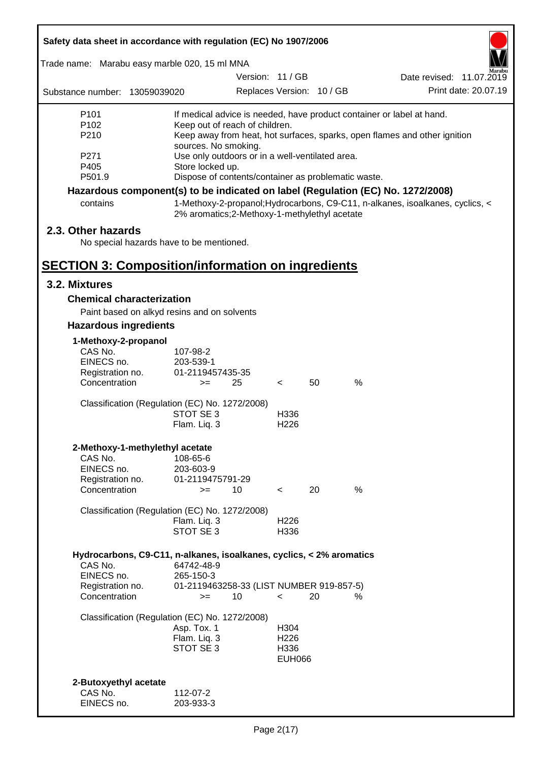| Safety data sheet in accordance with regulation (EC) No 1907/2006               |                                                                                    |                           |    |   |                                                                               |  |  |
|---------------------------------------------------------------------------------|------------------------------------------------------------------------------------|---------------------------|----|---|-------------------------------------------------------------------------------|--|--|
| Trade name: Marabu easy marble 020, 15 ml MNA                                   |                                                                                    |                           |    |   |                                                                               |  |  |
|                                                                                 |                                                                                    | Version: 11 / GB          |    |   | Date revised: 11.07.2019                                                      |  |  |
| Substance number: 13059039020                                                   |                                                                                    | Replaces Version: 10 / GB |    |   | Print date: 20.07.19                                                          |  |  |
| P <sub>101</sub>                                                                | If medical advice is needed, have product container or label at hand.              |                           |    |   |                                                                               |  |  |
| P <sub>102</sub>                                                                | Keep out of reach of children.                                                     |                           |    |   |                                                                               |  |  |
| P210                                                                            | Keep away from heat, hot surfaces, sparks, open flames and other ignition          |                           |    |   |                                                                               |  |  |
| P271                                                                            | sources. No smoking.<br>Use only outdoors or in a well-ventilated area.            |                           |    |   |                                                                               |  |  |
| P405                                                                            | Store locked up.                                                                   |                           |    |   |                                                                               |  |  |
| P501.9<br>Dispose of contents/container as problematic waste.                   |                                                                                    |                           |    |   |                                                                               |  |  |
| Hazardous component(s) to be indicated on label (Regulation (EC) No. 1272/2008) |                                                                                    |                           |    |   |                                                                               |  |  |
| contains                                                                        | 2% aromatics;2-Methoxy-1-methylethyl acetate                                       |                           |    |   | 1-Methoxy-2-propanol; Hydrocarbons, C9-C11, n-alkanes, isoalkanes, cyclics, < |  |  |
| 2.3. Other hazards                                                              |                                                                                    |                           |    |   |                                                                               |  |  |
|                                                                                 | No special hazards have to be mentioned.                                           |                           |    |   |                                                                               |  |  |
|                                                                                 |                                                                                    |                           |    |   |                                                                               |  |  |
| <b>SECTION 3: Composition/information on ingredients</b>                        |                                                                                    |                           |    |   |                                                                               |  |  |
| 3.2. Mixtures                                                                   |                                                                                    |                           |    |   |                                                                               |  |  |
| <b>Chemical characterization</b>                                                |                                                                                    |                           |    |   |                                                                               |  |  |
|                                                                                 | Paint based on alkyd resins and on solvents                                        |                           |    |   |                                                                               |  |  |
| <b>Hazardous ingredients</b>                                                    |                                                                                    |                           |    |   |                                                                               |  |  |
| 1-Methoxy-2-propanol                                                            |                                                                                    |                           |    |   |                                                                               |  |  |
| CAS No.                                                                         | 107-98-2                                                                           |                           |    |   |                                                                               |  |  |
| EINECS no.                                                                      | 203-539-1                                                                          |                           |    |   |                                                                               |  |  |
| Registration no.<br>Concentration                                               | 01-2119457435-35<br>25<br>$>=$                                                     |                           | 50 | % |                                                                               |  |  |
|                                                                                 |                                                                                    | $\prec$                   |    |   |                                                                               |  |  |
|                                                                                 | Classification (Regulation (EC) No. 1272/2008)                                     |                           |    |   |                                                                               |  |  |
|                                                                                 | STOT SE 3                                                                          | H336                      |    |   |                                                                               |  |  |
|                                                                                 | Flam. Liq. 3                                                                       | H <sub>226</sub>          |    |   |                                                                               |  |  |
| 2-Methoxy-1-methylethyl acetate                                                 |                                                                                    |                           |    |   |                                                                               |  |  |
| CAS No.                                                                         | 108-65-6                                                                           |                           |    |   |                                                                               |  |  |
| EINECS no.                                                                      | 203-603-9                                                                          |                           |    |   |                                                                               |  |  |
| Registration no.                                                                | 01-2119475791-29                                                                   |                           |    |   |                                                                               |  |  |
| Concentration                                                                   | 10<br>$=$                                                                          | $\lt$                     | 20 | % |                                                                               |  |  |
|                                                                                 | Classification (Regulation (EC) No. 1272/2008)                                     |                           |    |   |                                                                               |  |  |
|                                                                                 | Flam. Liq. 3                                                                       | H <sub>226</sub>          |    |   |                                                                               |  |  |
|                                                                                 | STOT SE 3                                                                          | H336                      |    |   |                                                                               |  |  |
|                                                                                 |                                                                                    |                           |    |   |                                                                               |  |  |
| CAS No.                                                                         | Hydrocarbons, C9-C11, n-alkanes, isoalkanes, cyclics, < 2% aromatics<br>64742-48-9 |                           |    |   |                                                                               |  |  |
| EINECS no.                                                                      | 265-150-3                                                                          |                           |    |   |                                                                               |  |  |
| Registration no.                                                                | 01-2119463258-33 (LIST NUMBER 919-857-5)                                           |                           |    |   |                                                                               |  |  |
| Concentration                                                                   | 10<br>$=$                                                                          | $\overline{\phantom{0}}$  | 20 | ℅ |                                                                               |  |  |
|                                                                                 | Classification (Regulation (EC) No. 1272/2008)                                     |                           |    |   |                                                                               |  |  |
|                                                                                 | Asp. Tox. 1                                                                        | H304                      |    |   |                                                                               |  |  |
|                                                                                 | Flam. Liq. 3                                                                       | H <sub>226</sub>          |    |   |                                                                               |  |  |
|                                                                                 | STOT SE 3                                                                          | H336                      |    |   |                                                                               |  |  |
|                                                                                 |                                                                                    | <b>EUH066</b>             |    |   |                                                                               |  |  |
|                                                                                 |                                                                                    |                           |    |   |                                                                               |  |  |
| 2-Butoxyethyl acetate<br>CAS No.                                                |                                                                                    |                           |    |   |                                                                               |  |  |
| EINECS no.                                                                      | 112-07-2<br>203-933-3                                                              |                           |    |   |                                                                               |  |  |
|                                                                                 |                                                                                    |                           |    |   |                                                                               |  |  |

ī

Г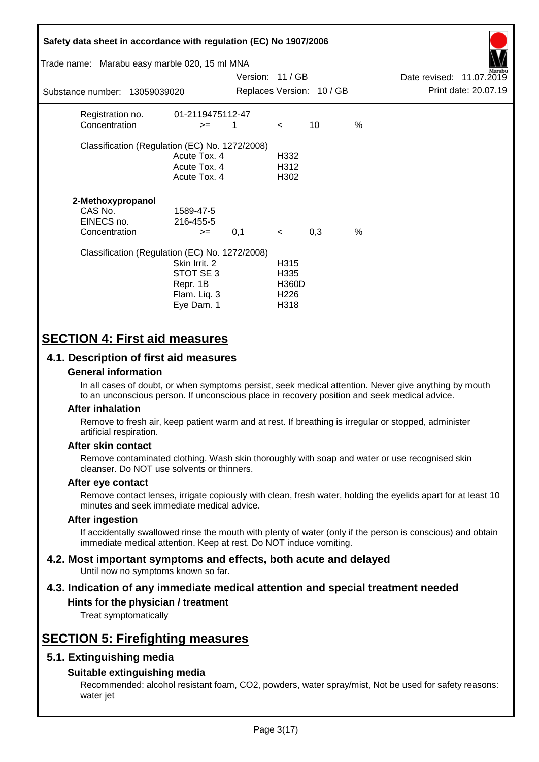| Safety data sheet in accordance with regulation (EC) No 1907/2006<br>Trade name: Marabu easy marble 020, 15 ml MNA<br>arabu |                                                                      |                  |                                                          |                           |               |                          |                      |
|-----------------------------------------------------------------------------------------------------------------------------|----------------------------------------------------------------------|------------------|----------------------------------------------------------|---------------------------|---------------|--------------------------|----------------------|
|                                                                                                                             |                                                                      | Version: 11 / GB |                                                          |                           |               | Date revised: 11.07.2019 |                      |
| Substance number: 13059039020                                                                                               |                                                                      |                  |                                                          | Replaces Version: 10 / GB |               |                          | Print date: 20.07.19 |
| Registration no.<br>Concentration                                                                                           | 01-2119475112-47<br>$>=$                                             | 1                | $\lt$                                                    | 10                        | $\frac{0}{0}$ |                          |                      |
| Classification (Regulation (EC) No. 1272/2008)                                                                              | Acute Tox. 4<br>Acute Tox. 4<br>Acute Tox. 4                         |                  | H332<br>H312<br>H302                                     |                           |               |                          |                      |
| 2-Methoxypropanol<br>CAS No.<br>EINECS no.<br>Concentration                                                                 | 1589-47-5<br>216-455-5<br>$>=$                                       | 0,1              | $\prec$                                                  | 0,3                       | $\%$          |                          |                      |
| Classification (Regulation (EC) No. 1272/2008)                                                                              | Skin Irrit. 2<br>STOT SE 3<br>Repr. 1B<br>Flam. Liq. 3<br>Eye Dam. 1 |                  | H315<br>H335<br><b>H360D</b><br>H <sub>226</sub><br>H318 |                           |               |                          |                      |

# **SECTION 4: First aid measures**

## **4.1. Description of first aid measures**

### **General information**

In all cases of doubt, or when symptoms persist, seek medical attention. Never give anything by mouth to an unconscious person. If unconscious place in recovery position and seek medical advice.

### **After inhalation**

Remove to fresh air, keep patient warm and at rest. If breathing is irregular or stopped, administer artificial respiration.

### **After skin contact**

Remove contaminated clothing. Wash skin thoroughly with soap and water or use recognised skin cleanser. Do NOT use solvents or thinners.

### **After eye contact**

Remove contact lenses, irrigate copiously with clean, fresh water, holding the eyelids apart for at least 10 minutes and seek immediate medical advice.

### **After ingestion**

If accidentally swallowed rinse the mouth with plenty of water (only if the person is conscious) and obtain immediate medical attention. Keep at rest. Do NOT induce vomiting.

#### **4.2. Most important symptoms and effects, both acute and delayed** Until now no symptoms known so far.

# **4.3. Indication of any immediate medical attention and special treatment needed**

## **Hints for the physician / treatment**

Treat symptomatically

# **SECTION 5: Firefighting measures**

## **5.1. Extinguishing media**

### **Suitable extinguishing media**

Recommended: alcohol resistant foam, CO2, powders, water spray/mist, Not be used for safety reasons: water jet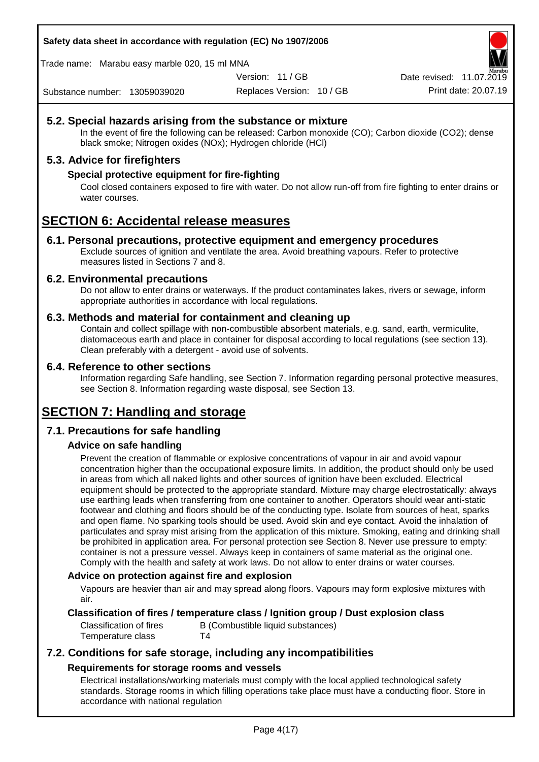Trade name: Marabu easy marble 020, 15 ml MNA

Version: 11 / GB

Replaces Version: 10 / GB Print date: 20.07.19 Date revised: 11.07.2019

Substance number: 13059039020

# **5.2. Special hazards arising from the substance or mixture**

In the event of fire the following can be released: Carbon monoxide (CO); Carbon dioxide (CO2); dense black smoke; Nitrogen oxides (NOx); Hydrogen chloride (HCl)

## **5.3. Advice for firefighters**

### **Special protective equipment for fire-fighting**

Cool closed containers exposed to fire with water. Do not allow run-off from fire fighting to enter drains or water courses.

# **SECTION 6: Accidental release measures**

### **6.1. Personal precautions, protective equipment and emergency procedures**

Exclude sources of ignition and ventilate the area. Avoid breathing vapours. Refer to protective measures listed in Sections 7 and 8.

### **6.2. Environmental precautions**

Do not allow to enter drains or waterways. If the product contaminates lakes, rivers or sewage, inform appropriate authorities in accordance with local regulations.

### **6.3. Methods and material for containment and cleaning up**

Contain and collect spillage with non-combustible absorbent materials, e.g. sand, earth, vermiculite, diatomaceous earth and place in container for disposal according to local regulations (see section 13). Clean preferably with a detergent - avoid use of solvents.

### **6.4. Reference to other sections**

Information regarding Safe handling, see Section 7. Information regarding personal protective measures, see Section 8. Information regarding waste disposal, see Section 13.

# **SECTION 7: Handling and storage**

## **7.1. Precautions for safe handling**

## **Advice on safe handling**

Prevent the creation of flammable or explosive concentrations of vapour in air and avoid vapour concentration higher than the occupational exposure limits. In addition, the product should only be used in areas from which all naked lights and other sources of ignition have been excluded. Electrical equipment should be protected to the appropriate standard. Mixture may charge electrostatically: always use earthing leads when transferring from one container to another. Operators should wear anti-static footwear and clothing and floors should be of the conducting type. Isolate from sources of heat, sparks and open flame. No sparking tools should be used. Avoid skin and eye contact. Avoid the inhalation of particulates and spray mist arising from the application of this mixture. Smoking, eating and drinking shall be prohibited in application area. For personal protection see Section 8. Never use pressure to empty: container is not a pressure vessel. Always keep in containers of same material as the original one. Comply with the health and safety at work laws. Do not allow to enter drains or water courses.

### **Advice on protection against fire and explosion**

Vapours are heavier than air and may spread along floors. Vapours may form explosive mixtures with air.

## **Classification of fires / temperature class / Ignition group / Dust explosion class**

Classification of fires B (Combustible liquid substances) Temperature class T4

# **7.2. Conditions for safe storage, including any incompatibilities Requirements for storage rooms and vessels**

Electrical installations/working materials must comply with the local applied technological safety standards. Storage rooms in which filling operations take place must have a conducting floor. Store in accordance with national regulation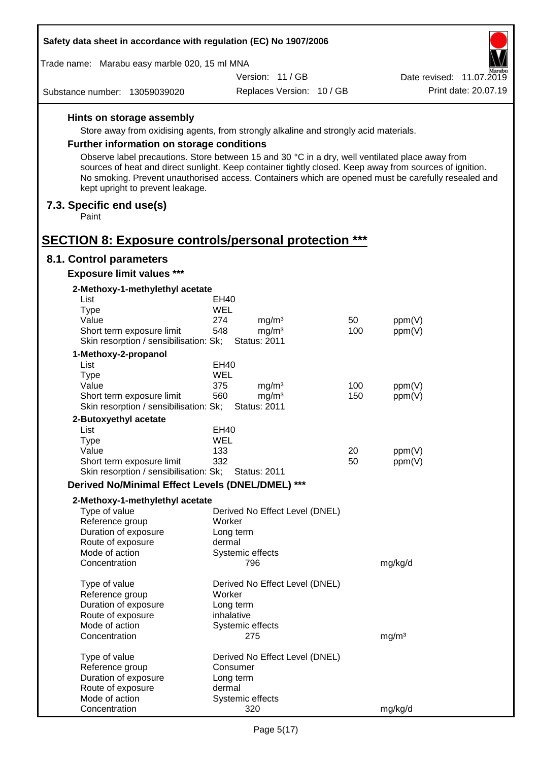| Safety data sheet in accordance with regulation (EC) No 1907/2006                     |  |                                 |                           |          |                                                                                                                                                                                                                |        |
|---------------------------------------------------------------------------------------|--|---------------------------------|---------------------------|----------|----------------------------------------------------------------------------------------------------------------------------------------------------------------------------------------------------------------|--------|
| Trade name: Marabu easy marble 020, 15 ml MNA                                         |  |                                 |                           |          |                                                                                                                                                                                                                | Aarabu |
|                                                                                       |  | Version: 11 / GB                |                           |          | Date revised: 11.07.2019                                                                                                                                                                                       |        |
| Substance number: 13059039020                                                         |  |                                 | Replaces Version: 10 / GB |          | Print date: 20.07.19                                                                                                                                                                                           |        |
| Hints on storage assembly                                                             |  |                                 |                           |          |                                                                                                                                                                                                                |        |
| Store away from oxidising agents, from strongly alkaline and strongly acid materials. |  |                                 |                           |          |                                                                                                                                                                                                                |        |
| <b>Further information on storage conditions</b>                                      |  |                                 |                           |          |                                                                                                                                                                                                                |        |
|                                                                                       |  |                                 |                           |          | Observe label precautions. Store between 15 and 30 °C in a dry, well ventilated place away from                                                                                                                |        |
| kept upright to prevent leakage.                                                      |  |                                 |                           |          | sources of heat and direct sunlight. Keep container tightly closed. Keep away from sources of ignition.<br>No smoking. Prevent unauthorised access. Containers which are opened must be carefully resealed and |        |
| 7.3. Specific end use(s)<br>Paint                                                     |  |                                 |                           |          |                                                                                                                                                                                                                |        |
| <b>SECTION 8: Exposure controls/personal protection ***</b>                           |  |                                 |                           |          |                                                                                                                                                                                                                |        |
| 8.1. Control parameters                                                               |  |                                 |                           |          |                                                                                                                                                                                                                |        |
| <b>Exposure limit values ***</b>                                                      |  |                                 |                           |          |                                                                                                                                                                                                                |        |
| 2-Methoxy-1-methylethyl acetate                                                       |  |                                 |                           |          |                                                                                                                                                                                                                |        |
| List                                                                                  |  | EH40                            |                           |          |                                                                                                                                                                                                                |        |
| <b>Type</b>                                                                           |  | WEL                             |                           |          |                                                                                                                                                                                                                |        |
| Value                                                                                 |  | 274<br>mg/m <sup>3</sup>        |                           | 50       | ppm(V)                                                                                                                                                                                                         |        |
| Short term exposure limit                                                             |  | mg/m <sup>3</sup><br>548        |                           | 100      | ppm(V)                                                                                                                                                                                                         |        |
| Skin resorption / sensibilisation: Sk;                                                |  | <b>Status: 2011</b>             |                           |          |                                                                                                                                                                                                                |        |
| 1-Methoxy-2-propanol                                                                  |  |                                 |                           |          |                                                                                                                                                                                                                |        |
| List                                                                                  |  | EH40                            |                           |          |                                                                                                                                                                                                                |        |
| <b>Type</b><br>Value                                                                  |  | WEL<br>375<br>mg/m <sup>3</sup> |                           | 100      | ppm(V)                                                                                                                                                                                                         |        |
| Short term exposure limit                                                             |  | 560<br>mg/m <sup>3</sup>        |                           | 150      | ppm(V)                                                                                                                                                                                                         |        |
| Skin resorption / sensibilisation: Sk;                                                |  | <b>Status: 2011</b>             |                           |          |                                                                                                                                                                                                                |        |
| 2-Butoxyethyl acetate                                                                 |  |                                 |                           |          |                                                                                                                                                                                                                |        |
| List                                                                                  |  | EH40                            |                           |          |                                                                                                                                                                                                                |        |
| Type                                                                                  |  | WEL                             |                           |          |                                                                                                                                                                                                                |        |
| Value                                                                                 |  | 133<br>332                      |                           | 20<br>50 | ppm(V)                                                                                                                                                                                                         |        |
| Short term exposure limit<br>Skin resorption / sensibilisation: Sk;                   |  | <b>Status: 2011</b>             |                           |          | ppm(V)                                                                                                                                                                                                         |        |
| Derived No/Minimal Effect Levels (DNEL/DMEL) ***                                      |  |                                 |                           |          |                                                                                                                                                                                                                |        |
| 2-Methoxy-1-methylethyl acetate                                                       |  |                                 |                           |          |                                                                                                                                                                                                                |        |
| Type of value                                                                         |  | Derived No Effect Level (DNEL)  |                           |          |                                                                                                                                                                                                                |        |
| Reference group                                                                       |  | Worker                          |                           |          |                                                                                                                                                                                                                |        |
| Duration of exposure                                                                  |  | Long term                       |                           |          |                                                                                                                                                                                                                |        |
| Route of exposure                                                                     |  | dermal                          |                           |          |                                                                                                                                                                                                                |        |
| Mode of action                                                                        |  | Systemic effects                |                           |          |                                                                                                                                                                                                                |        |
| Concentration                                                                         |  | 796                             |                           |          | mg/kg/d                                                                                                                                                                                                        |        |
| Type of value                                                                         |  | Derived No Effect Level (DNEL)  |                           |          |                                                                                                                                                                                                                |        |
| Reference group                                                                       |  | Worker                          |                           |          |                                                                                                                                                                                                                |        |
| Duration of exposure                                                                  |  | Long term                       |                           |          |                                                                                                                                                                                                                |        |
| Route of exposure                                                                     |  | inhalative                      |                           |          |                                                                                                                                                                                                                |        |
| Mode of action                                                                        |  | Systemic effects                |                           |          |                                                                                                                                                                                                                |        |
| Concentration                                                                         |  | 275                             |                           |          | mg/m <sup>3</sup>                                                                                                                                                                                              |        |
| Type of value                                                                         |  | Derived No Effect Level (DNEL)  |                           |          |                                                                                                                                                                                                                |        |
| Reference group                                                                       |  | Consumer                        |                           |          |                                                                                                                                                                                                                |        |
| Duration of exposure                                                                  |  | Long term                       |                           |          |                                                                                                                                                                                                                |        |
| Route of exposure                                                                     |  | dermal                          |                           |          |                                                                                                                                                                                                                |        |
| Mode of action                                                                        |  | Systemic effects                |                           |          |                                                                                                                                                                                                                |        |
| Concentration                                                                         |  | 320                             |                           |          | mg/kg/d                                                                                                                                                                                                        |        |

 $\Gamma$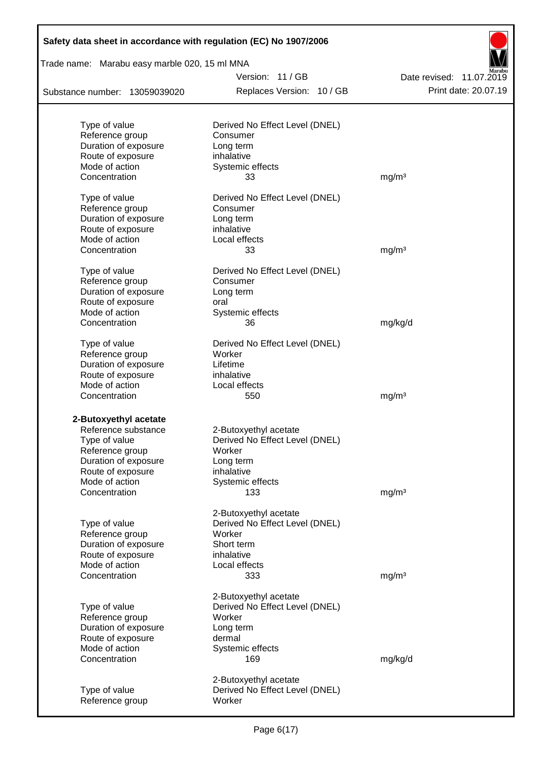| Safety data sheet in accordance with regulation (EC) No 1907/2006 |                                                         |                          |  |  |  |  |
|-------------------------------------------------------------------|---------------------------------------------------------|--------------------------|--|--|--|--|
| Trade name: Marabu easy marble 020, 15 ml MNA                     |                                                         |                          |  |  |  |  |
|                                                                   | Version: 11/GB                                          | Date revised: 11.07.2019 |  |  |  |  |
| Substance number: 13059039020                                     | Replaces Version: 10 / GB                               | Print date: 20.07.19     |  |  |  |  |
|                                                                   |                                                         |                          |  |  |  |  |
| Type of value                                                     | Derived No Effect Level (DNEL)                          |                          |  |  |  |  |
| Reference group                                                   | Consumer                                                |                          |  |  |  |  |
| Duration of exposure                                              | Long term                                               |                          |  |  |  |  |
| Route of exposure<br>Mode of action                               | inhalative                                              |                          |  |  |  |  |
| Concentration                                                     | Systemic effects<br>33                                  | mg/m <sup>3</sup>        |  |  |  |  |
|                                                                   |                                                         |                          |  |  |  |  |
| Type of value                                                     | Derived No Effect Level (DNEL)                          |                          |  |  |  |  |
| Reference group                                                   | Consumer                                                |                          |  |  |  |  |
| Duration of exposure                                              | Long term                                               |                          |  |  |  |  |
| Route of exposure                                                 | inhalative                                              |                          |  |  |  |  |
| Mode of action                                                    | Local effects                                           |                          |  |  |  |  |
| Concentration                                                     | 33                                                      | mg/m <sup>3</sup>        |  |  |  |  |
| Type of value                                                     | Derived No Effect Level (DNEL)                          |                          |  |  |  |  |
| Reference group                                                   | Consumer                                                |                          |  |  |  |  |
| Duration of exposure                                              | Long term                                               |                          |  |  |  |  |
| Route of exposure                                                 | oral                                                    |                          |  |  |  |  |
| Mode of action                                                    | Systemic effects                                        |                          |  |  |  |  |
| Concentration                                                     | 36                                                      | mg/kg/d                  |  |  |  |  |
| Type of value                                                     | Derived No Effect Level (DNEL)                          |                          |  |  |  |  |
| Reference group                                                   | Worker                                                  |                          |  |  |  |  |
| Duration of exposure                                              | Lifetime                                                |                          |  |  |  |  |
| Route of exposure                                                 | inhalative                                              |                          |  |  |  |  |
| Mode of action                                                    | Local effects                                           |                          |  |  |  |  |
| Concentration                                                     | 550                                                     | mg/m <sup>3</sup>        |  |  |  |  |
|                                                                   |                                                         |                          |  |  |  |  |
| 2-Butoxyethyl acetate                                             |                                                         |                          |  |  |  |  |
| Reference substance<br>Type of value                              | 2-Butoxyethyl acetate<br>Derived No Effect Level (DNEL) |                          |  |  |  |  |
| Reference group                                                   | Worker                                                  |                          |  |  |  |  |
| Duration of exposure                                              | Long term                                               |                          |  |  |  |  |
| Route of exposure                                                 | inhalative                                              |                          |  |  |  |  |
| Mode of action                                                    | Systemic effects                                        |                          |  |  |  |  |
| Concentration                                                     | 133                                                     | mg/m <sup>3</sup>        |  |  |  |  |
|                                                                   |                                                         |                          |  |  |  |  |
|                                                                   | 2-Butoxyethyl acetate                                   |                          |  |  |  |  |
| Type of value<br>Reference group                                  | Derived No Effect Level (DNEL)<br>Worker                |                          |  |  |  |  |
| Duration of exposure                                              | Short term                                              |                          |  |  |  |  |
| Route of exposure                                                 | inhalative                                              |                          |  |  |  |  |
| Mode of action                                                    | Local effects                                           |                          |  |  |  |  |
| Concentration                                                     | 333                                                     | mg/m <sup>3</sup>        |  |  |  |  |
|                                                                   |                                                         |                          |  |  |  |  |
|                                                                   | 2-Butoxyethyl acetate                                   |                          |  |  |  |  |
| Type of value                                                     | Derived No Effect Level (DNEL)                          |                          |  |  |  |  |
| Reference group                                                   | Worker                                                  |                          |  |  |  |  |
| Duration of exposure                                              | Long term                                               |                          |  |  |  |  |
| Route of exposure                                                 | dermal                                                  |                          |  |  |  |  |
| Mode of action<br>Concentration                                   | Systemic effects<br>169                                 | mg/kg/d                  |  |  |  |  |
|                                                                   |                                                         |                          |  |  |  |  |
|                                                                   | 2-Butoxyethyl acetate                                   |                          |  |  |  |  |
| Type of value                                                     | Derived No Effect Level (DNEL)                          |                          |  |  |  |  |
| Reference group                                                   | Worker                                                  |                          |  |  |  |  |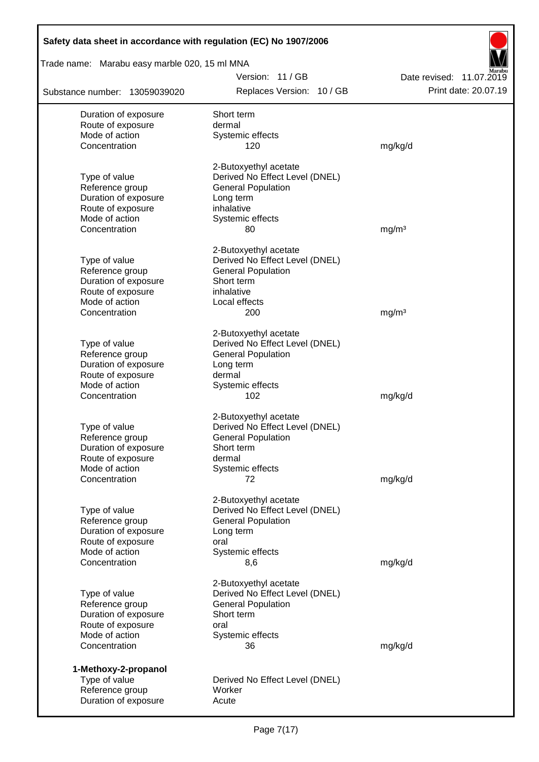| Safety data sheet in accordance with regulation (EC) No 1907/2006 |                                                         |                          |  |  |  |  |
|-------------------------------------------------------------------|---------------------------------------------------------|--------------------------|--|--|--|--|
| Trade name: Marabu easy marble 020, 15 ml MNA                     |                                                         |                          |  |  |  |  |
|                                                                   | Version: 11/GB                                          | Date revised: 11.07.2019 |  |  |  |  |
| Substance number: 13059039020                                     | Replaces Version: 10 / GB                               | Print date: 20.07.19     |  |  |  |  |
| Duration of exposure                                              | Short term                                              |                          |  |  |  |  |
| Route of exposure                                                 | dermal                                                  |                          |  |  |  |  |
| Mode of action<br>Concentration                                   | Systemic effects<br>120                                 | mg/kg/d                  |  |  |  |  |
|                                                                   |                                                         |                          |  |  |  |  |
|                                                                   | 2-Butoxyethyl acetate                                   |                          |  |  |  |  |
| Type of value                                                     | Derived No Effect Level (DNEL)                          |                          |  |  |  |  |
| Reference group<br>Duration of exposure                           | <b>General Population</b><br>Long term                  |                          |  |  |  |  |
| Route of exposure                                                 | inhalative                                              |                          |  |  |  |  |
| Mode of action                                                    | Systemic effects                                        |                          |  |  |  |  |
| Concentration                                                     | 80                                                      | mg/m <sup>3</sup>        |  |  |  |  |
|                                                                   |                                                         |                          |  |  |  |  |
| Type of value                                                     | 2-Butoxyethyl acetate<br>Derived No Effect Level (DNEL) |                          |  |  |  |  |
| Reference group                                                   | <b>General Population</b>                               |                          |  |  |  |  |
| Duration of exposure                                              | Short term                                              |                          |  |  |  |  |
| Route of exposure                                                 | inhalative                                              |                          |  |  |  |  |
| Mode of action                                                    | Local effects                                           |                          |  |  |  |  |
| Concentration                                                     | 200                                                     | mg/m <sup>3</sup>        |  |  |  |  |
|                                                                   | 2-Butoxyethyl acetate                                   |                          |  |  |  |  |
| Type of value                                                     | Derived No Effect Level (DNEL)                          |                          |  |  |  |  |
| Reference group                                                   | <b>General Population</b>                               |                          |  |  |  |  |
| Duration of exposure                                              | Long term                                               |                          |  |  |  |  |
| Route of exposure<br>Mode of action                               | dermal<br>Systemic effects                              |                          |  |  |  |  |
| Concentration                                                     | 102                                                     | mg/kg/d                  |  |  |  |  |
|                                                                   | 2-Butoxyethyl acetate                                   |                          |  |  |  |  |
| Type of value                                                     | Derived No Effect Level (DNEL)                          |                          |  |  |  |  |
| Reference group                                                   | <b>General Population</b>                               |                          |  |  |  |  |
| Duration of exposure                                              | Short term                                              |                          |  |  |  |  |
| Route of exposure                                                 | dermal                                                  |                          |  |  |  |  |
| Mode of action                                                    | Systemic effects                                        |                          |  |  |  |  |
| Concentration                                                     | 72                                                      | mg/kg/d                  |  |  |  |  |
|                                                                   | 2-Butoxyethyl acetate                                   |                          |  |  |  |  |
| Type of value                                                     | Derived No Effect Level (DNEL)                          |                          |  |  |  |  |
| Reference group<br>Duration of exposure                           | <b>General Population</b>                               |                          |  |  |  |  |
| Route of exposure                                                 | Long term<br>oral                                       |                          |  |  |  |  |
| Mode of action                                                    | Systemic effects                                        |                          |  |  |  |  |
| Concentration                                                     | 8,6                                                     | mg/kg/d                  |  |  |  |  |
|                                                                   | 2-Butoxyethyl acetate                                   |                          |  |  |  |  |
| Type of value                                                     | Derived No Effect Level (DNEL)                          |                          |  |  |  |  |
| Reference group                                                   | <b>General Population</b>                               |                          |  |  |  |  |
| Duration of exposure                                              | Short term                                              |                          |  |  |  |  |
| Route of exposure                                                 | oral                                                    |                          |  |  |  |  |
| Mode of action<br>Concentration                                   | Systemic effects<br>36                                  | mg/kg/d                  |  |  |  |  |
|                                                                   |                                                         |                          |  |  |  |  |
| 1-Methoxy-2-propanol<br>Type of value                             | Derived No Effect Level (DNEL)                          |                          |  |  |  |  |
| Reference group                                                   | Worker                                                  |                          |  |  |  |  |
| Duration of exposure                                              | Acute                                                   |                          |  |  |  |  |
|                                                                   |                                                         |                          |  |  |  |  |

Г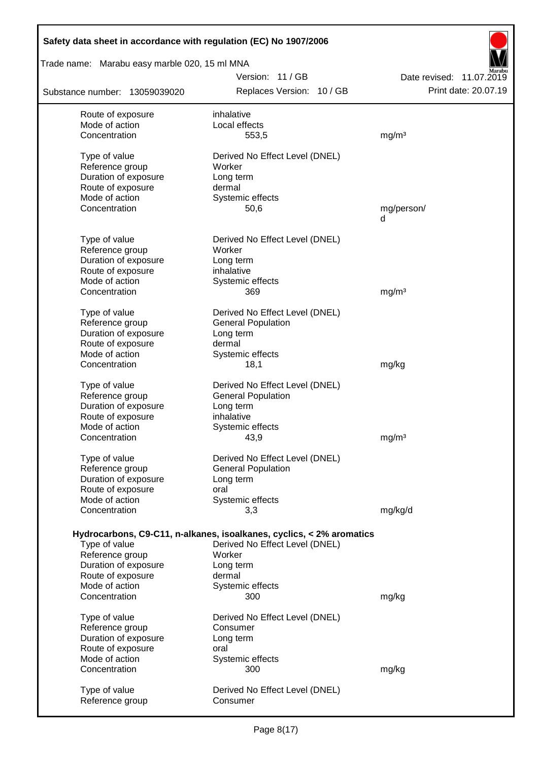| Safety data sheet in accordance with regulation (EC) No 1907/2006 |                                                                      |                          |  |  |  |  |  |  |
|-------------------------------------------------------------------|----------------------------------------------------------------------|--------------------------|--|--|--|--|--|--|
| Trade name: Marabu easy marble 020, 15 ml MNA                     |                                                                      |                          |  |  |  |  |  |  |
|                                                                   | Version: 11/GB                                                       | Date revised: 11.07.2019 |  |  |  |  |  |  |
| Substance number: 13059039020                                     | Replaces Version: 10 / GB                                            | Print date: 20.07.19     |  |  |  |  |  |  |
| Route of exposure                                                 | inhalative                                                           |                          |  |  |  |  |  |  |
| Mode of action                                                    | Local effects                                                        |                          |  |  |  |  |  |  |
| Concentration                                                     | 553,5                                                                | mg/m <sup>3</sup>        |  |  |  |  |  |  |
| Type of value                                                     | Derived No Effect Level (DNEL)                                       |                          |  |  |  |  |  |  |
| Reference group                                                   | Worker                                                               |                          |  |  |  |  |  |  |
| Duration of exposure                                              | Long term                                                            |                          |  |  |  |  |  |  |
| Route of exposure                                                 | dermal                                                               |                          |  |  |  |  |  |  |
| Mode of action                                                    | Systemic effects                                                     |                          |  |  |  |  |  |  |
| Concentration                                                     | 50,6                                                                 | mg/person/<br>q          |  |  |  |  |  |  |
|                                                                   |                                                                      |                          |  |  |  |  |  |  |
| Type of value                                                     | Derived No Effect Level (DNEL)                                       |                          |  |  |  |  |  |  |
| Reference group                                                   | Worker                                                               |                          |  |  |  |  |  |  |
| Duration of exposure                                              | Long term                                                            |                          |  |  |  |  |  |  |
| Route of exposure<br>Mode of action                               | inhalative                                                           |                          |  |  |  |  |  |  |
| Concentration                                                     | Systemic effects<br>369                                              | mq/m <sup>3</sup>        |  |  |  |  |  |  |
|                                                                   |                                                                      |                          |  |  |  |  |  |  |
| Type of value                                                     | Derived No Effect Level (DNEL)                                       |                          |  |  |  |  |  |  |
| Reference group                                                   | <b>General Population</b>                                            |                          |  |  |  |  |  |  |
| Duration of exposure                                              | Long term                                                            |                          |  |  |  |  |  |  |
| Route of exposure                                                 | dermal                                                               |                          |  |  |  |  |  |  |
| Mode of action<br>Concentration                                   | Systemic effects<br>18,1                                             | mg/kg                    |  |  |  |  |  |  |
|                                                                   |                                                                      |                          |  |  |  |  |  |  |
| Type of value                                                     | Derived No Effect Level (DNEL)                                       |                          |  |  |  |  |  |  |
| Reference group                                                   | <b>General Population</b>                                            |                          |  |  |  |  |  |  |
| Duration of exposure                                              | Long term                                                            |                          |  |  |  |  |  |  |
| Route of exposure                                                 | inhalative                                                           |                          |  |  |  |  |  |  |
| Mode of action<br>Concentration                                   | Systemic effects                                                     | mg/m <sup>3</sup>        |  |  |  |  |  |  |
|                                                                   | 43,9                                                                 |                          |  |  |  |  |  |  |
| Type of value                                                     | Derived No Effect Level (DNEL)                                       |                          |  |  |  |  |  |  |
| Reference group                                                   | <b>General Population</b>                                            |                          |  |  |  |  |  |  |
| Duration of exposure                                              | Long term                                                            |                          |  |  |  |  |  |  |
| Route of exposure                                                 | oral                                                                 |                          |  |  |  |  |  |  |
| Mode of action<br>Concentration                                   | Systemic effects<br>3,3                                              | mg/kg/d                  |  |  |  |  |  |  |
|                                                                   |                                                                      |                          |  |  |  |  |  |  |
|                                                                   | Hydrocarbons, C9-C11, n-alkanes, isoalkanes, cyclics, < 2% aromatics |                          |  |  |  |  |  |  |
| Type of value                                                     | Derived No Effect Level (DNEL)                                       |                          |  |  |  |  |  |  |
| Reference group                                                   | Worker                                                               |                          |  |  |  |  |  |  |
| Duration of exposure                                              | Long term                                                            |                          |  |  |  |  |  |  |
| Route of exposure<br>Mode of action                               | dermal                                                               |                          |  |  |  |  |  |  |
| Concentration                                                     | Systemic effects<br>300                                              | mg/kg                    |  |  |  |  |  |  |
|                                                                   |                                                                      |                          |  |  |  |  |  |  |
| Type of value                                                     | Derived No Effect Level (DNEL)                                       |                          |  |  |  |  |  |  |
| Reference group                                                   | Consumer                                                             |                          |  |  |  |  |  |  |
| Duration of exposure                                              | Long term                                                            |                          |  |  |  |  |  |  |
| Route of exposure                                                 | oral                                                                 |                          |  |  |  |  |  |  |
| Mode of action<br>Concentration                                   | Systemic effects<br>300                                              | mg/kg                    |  |  |  |  |  |  |
|                                                                   |                                                                      |                          |  |  |  |  |  |  |
| Type of value                                                     | Derived No Effect Level (DNEL)                                       |                          |  |  |  |  |  |  |
| Reference group                                                   | Consumer                                                             |                          |  |  |  |  |  |  |
|                                                                   |                                                                      |                          |  |  |  |  |  |  |

 $\overline{\phantom{a}}$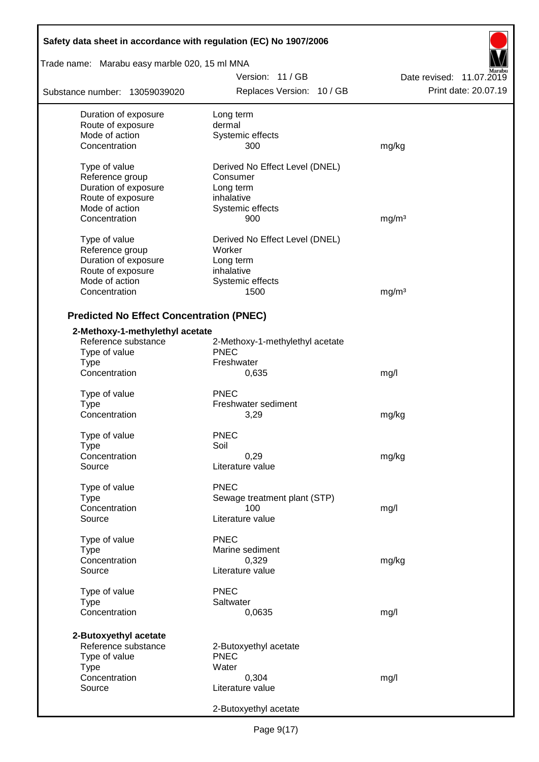| Safety data sheet in accordance with regulation (EC) No 1907/2006 |                                 |                          |  |  |  |  |
|-------------------------------------------------------------------|---------------------------------|--------------------------|--|--|--|--|
| Trade name: Marabu easy marble 020, 15 ml MNA                     |                                 |                          |  |  |  |  |
|                                                                   | Version: 11/GB                  | Date revised: 11.07.2019 |  |  |  |  |
| Substance number: 13059039020                                     | Replaces Version: 10 / GB       | Print date: 20.07.19     |  |  |  |  |
| Duration of exposure                                              | Long term                       |                          |  |  |  |  |
| Route of exposure                                                 | dermal                          |                          |  |  |  |  |
| Mode of action                                                    | Systemic effects                |                          |  |  |  |  |
| Concentration                                                     | 300                             | mg/kg                    |  |  |  |  |
| Type of value                                                     | Derived No Effect Level (DNEL)  |                          |  |  |  |  |
| Reference group                                                   | Consumer                        |                          |  |  |  |  |
| Duration of exposure                                              | Long term                       |                          |  |  |  |  |
| Route of exposure                                                 | inhalative                      |                          |  |  |  |  |
| Mode of action                                                    | Systemic effects                |                          |  |  |  |  |
| Concentration                                                     | 900                             | mg/m <sup>3</sup>        |  |  |  |  |
|                                                                   |                                 |                          |  |  |  |  |
| Type of value                                                     | Derived No Effect Level (DNEL)  |                          |  |  |  |  |
| Reference group                                                   | Worker                          |                          |  |  |  |  |
| Duration of exposure                                              | Long term                       |                          |  |  |  |  |
| Route of exposure                                                 | inhalative                      |                          |  |  |  |  |
| Mode of action                                                    | Systemic effects                |                          |  |  |  |  |
| Concentration                                                     | 1500                            | mg/m <sup>3</sup>        |  |  |  |  |
| <b>Predicted No Effect Concentration (PNEC)</b>                   |                                 |                          |  |  |  |  |
| 2-Methoxy-1-methylethyl acetate                                   |                                 |                          |  |  |  |  |
| Reference substance                                               | 2-Methoxy-1-methylethyl acetate |                          |  |  |  |  |
| Type of value                                                     | <b>PNEC</b>                     |                          |  |  |  |  |
| Type                                                              | Freshwater                      |                          |  |  |  |  |
| Concentration                                                     | 0,635                           |                          |  |  |  |  |
|                                                                   |                                 | mg/l                     |  |  |  |  |
| Type of value                                                     | <b>PNEC</b>                     |                          |  |  |  |  |
| Type                                                              | Freshwater sediment             |                          |  |  |  |  |
| Concentration                                                     | 3,29                            | mg/kg                    |  |  |  |  |
| Type of value                                                     | <b>PNEC</b>                     |                          |  |  |  |  |
| Type                                                              | Soil                            |                          |  |  |  |  |
| Concentration                                                     | 0,29                            | mg/kg                    |  |  |  |  |
| Source                                                            | Literature value                |                          |  |  |  |  |
|                                                                   |                                 |                          |  |  |  |  |
| Type of value                                                     | <b>PNEC</b>                     |                          |  |  |  |  |
| <b>Type</b>                                                       | Sewage treatment plant (STP)    |                          |  |  |  |  |
| Concentration                                                     | 100                             | mg/l                     |  |  |  |  |
| Source                                                            | Literature value                |                          |  |  |  |  |
| Type of value                                                     | <b>PNEC</b>                     |                          |  |  |  |  |
| Type                                                              | Marine sediment                 |                          |  |  |  |  |
| Concentration                                                     | 0,329                           | mg/kg                    |  |  |  |  |
| Source                                                            | Literature value                |                          |  |  |  |  |
|                                                                   | <b>PNEC</b>                     |                          |  |  |  |  |
| Type of value                                                     | Saltwater                       |                          |  |  |  |  |
| Type<br>Concentration                                             |                                 |                          |  |  |  |  |
|                                                                   | 0,0635                          | mg/l                     |  |  |  |  |
| 2-Butoxyethyl acetate                                             |                                 |                          |  |  |  |  |
| Reference substance                                               | 2-Butoxyethyl acetate           |                          |  |  |  |  |
| Type of value                                                     | <b>PNEC</b>                     |                          |  |  |  |  |
| Type                                                              | Water                           |                          |  |  |  |  |
| Concentration                                                     | 0,304                           | mg/l                     |  |  |  |  |
| Source                                                            | Literature value                |                          |  |  |  |  |
|                                                                   |                                 |                          |  |  |  |  |
|                                                                   | 2-Butoxyethyl acetate           |                          |  |  |  |  |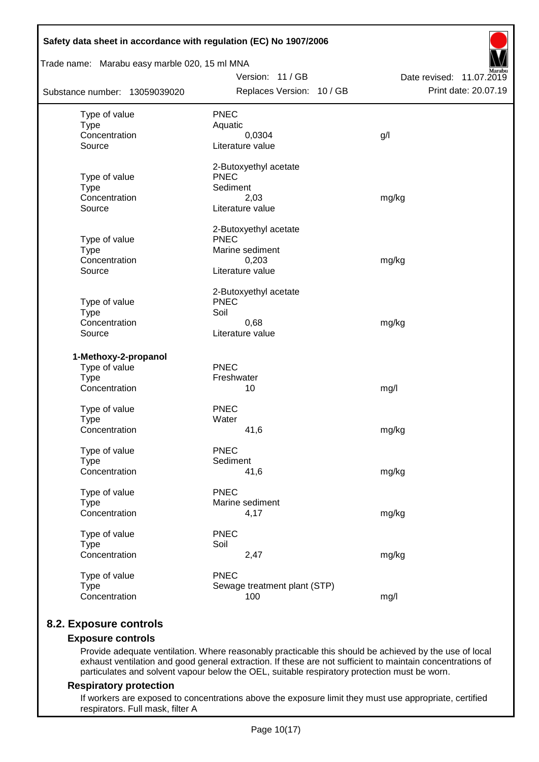| Trade name: Marabu easy marble 020, 15 ml MNA |                                      |                          |  |  |  |  |  |  |
|-----------------------------------------------|--------------------------------------|--------------------------|--|--|--|--|--|--|
|                                               | Version: 11 / GB                     | Date revised: 11.07.2019 |  |  |  |  |  |  |
| Substance number: 13059039020                 | Replaces Version: 10 / GB            | Print date: 20.07.19     |  |  |  |  |  |  |
| Type of value                                 | <b>PNEC</b>                          |                          |  |  |  |  |  |  |
| <b>Type</b>                                   | Aquatic                              |                          |  |  |  |  |  |  |
| Concentration                                 | 0,0304                               | g/l                      |  |  |  |  |  |  |
| Source                                        | Literature value                     |                          |  |  |  |  |  |  |
|                                               | 2-Butoxyethyl acetate                |                          |  |  |  |  |  |  |
| Type of value<br><b>Type</b>                  | <b>PNEC</b><br>Sediment              |                          |  |  |  |  |  |  |
| Concentration                                 | 2,03                                 | mg/kg                    |  |  |  |  |  |  |
| Source                                        | Literature value                     |                          |  |  |  |  |  |  |
|                                               |                                      |                          |  |  |  |  |  |  |
| Type of value                                 | 2-Butoxyethyl acetate<br><b>PNEC</b> |                          |  |  |  |  |  |  |
| <b>Type</b>                                   | Marine sediment                      |                          |  |  |  |  |  |  |
| Concentration                                 | 0,203                                | mg/kg                    |  |  |  |  |  |  |
| Source                                        | Literature value                     |                          |  |  |  |  |  |  |
|                                               | 2-Butoxyethyl acetate                |                          |  |  |  |  |  |  |
| Type of value                                 | <b>PNEC</b>                          |                          |  |  |  |  |  |  |
| <b>Type</b>                                   | Soil                                 |                          |  |  |  |  |  |  |
| Concentration                                 | 0,68                                 | mg/kg                    |  |  |  |  |  |  |
| Source                                        | Literature value                     |                          |  |  |  |  |  |  |
| 1-Methoxy-2-propanol                          |                                      |                          |  |  |  |  |  |  |
| Type of value                                 | <b>PNEC</b>                          |                          |  |  |  |  |  |  |
| <b>Type</b>                                   | Freshwater                           |                          |  |  |  |  |  |  |
| Concentration                                 | 10                                   | mg/l                     |  |  |  |  |  |  |
| Type of value                                 | <b>PNEC</b>                          |                          |  |  |  |  |  |  |
| <b>Type</b>                                   | Water                                |                          |  |  |  |  |  |  |
| Concentration                                 | 41,6                                 | mg/kg                    |  |  |  |  |  |  |
| Type of value                                 | <b>PNEC</b>                          |                          |  |  |  |  |  |  |
| <b>Type</b>                                   | Sediment                             |                          |  |  |  |  |  |  |
| Concentration                                 | 41,6                                 | mg/kg                    |  |  |  |  |  |  |
| Type of value                                 | <b>PNEC</b>                          |                          |  |  |  |  |  |  |
| <b>Type</b>                                   | Marine sediment                      |                          |  |  |  |  |  |  |
| Concentration                                 | 4,17                                 | mg/kg                    |  |  |  |  |  |  |
| Type of value                                 | <b>PNEC</b>                          |                          |  |  |  |  |  |  |
| <b>Type</b>                                   | Soil                                 |                          |  |  |  |  |  |  |
| Concentration                                 | 2,47                                 | mg/kg                    |  |  |  |  |  |  |
| Type of value                                 | <b>PNEC</b>                          |                          |  |  |  |  |  |  |
| <b>Type</b>                                   | Sewage treatment plant (STP)         |                          |  |  |  |  |  |  |
| Concentration                                 | 100                                  | mg/l                     |  |  |  |  |  |  |

# **8.2. Exposure controls**

### **Exposure controls**

Provide adequate ventilation. Where reasonably practicable this should be achieved by the use of local exhaust ventilation and good general extraction. If these are not sufficient to maintain concentrations of particulates and solvent vapour below the OEL, suitable respiratory protection must be worn.

### **Respiratory protection**

If workers are exposed to concentrations above the exposure limit they must use appropriate, certified respirators. Full mask, filter A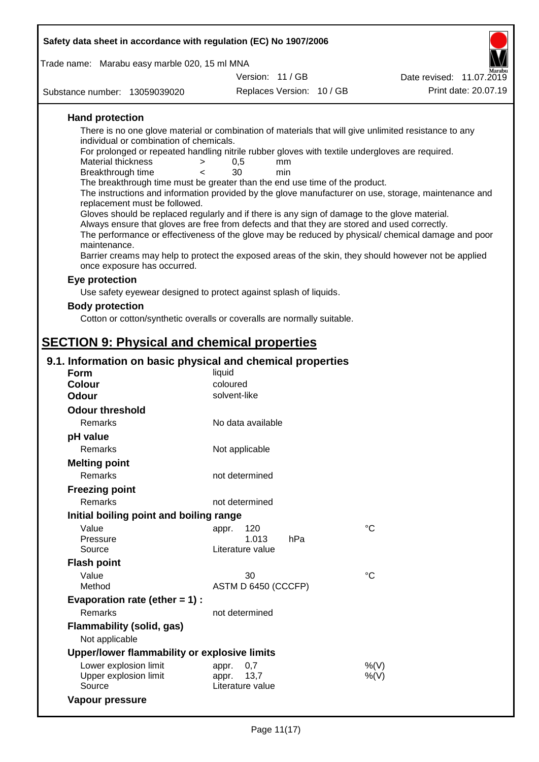| Safety data sheet in accordance with regulation (EC) No 1907/2006                                                                   |                                   |                           |                                                                                                      |  |  |  |  |
|-------------------------------------------------------------------------------------------------------------------------------------|-----------------------------------|---------------------------|------------------------------------------------------------------------------------------------------|--|--|--|--|
| Trade name: Marabu easy marble 020, 15 ml MNA                                                                                       |                                   |                           |                                                                                                      |  |  |  |  |
|                                                                                                                                     | Version: 11/GB                    |                           | Date revised: 11.07.2019                                                                             |  |  |  |  |
| Substance number: 13059039020                                                                                                       |                                   | Replaces Version: 10 / GB | Print date: 20.07.19                                                                                 |  |  |  |  |
| <b>Hand protection</b>                                                                                                              |                                   |                           |                                                                                                      |  |  |  |  |
| There is no one glove material or combination of materials that will give unlimited resistance to any                               |                                   |                           |                                                                                                      |  |  |  |  |
| individual or combination of chemicals.                                                                                             |                                   |                           |                                                                                                      |  |  |  |  |
| For prolonged or repeated handling nitrile rubber gloves with textile undergloves are required.<br>Material thickness<br>>          | 0,5<br>mm                         |                           |                                                                                                      |  |  |  |  |
| Breakthrough time<br>$\lt$                                                                                                          | 30<br>min                         |                           |                                                                                                      |  |  |  |  |
| The breakthrough time must be greater than the end use time of the product.                                                         |                                   |                           |                                                                                                      |  |  |  |  |
| replacement must be followed.                                                                                                       |                                   |                           | The instructions and information provided by the glove manufacturer on use, storage, maintenance and |  |  |  |  |
| Gloves should be replaced regularly and if there is any sign of damage to the glove material.                                       |                                   |                           |                                                                                                      |  |  |  |  |
| Always ensure that gloves are free from defects and that they are stored and used correctly.                                        |                                   |                           |                                                                                                      |  |  |  |  |
| maintenance.                                                                                                                        |                                   |                           | The performance or effectiveness of the glove may be reduced by physical/ chemical damage and poor   |  |  |  |  |
| Barrier creams may help to protect the exposed areas of the skin, they should however not be applied<br>once exposure has occurred. |                                   |                           |                                                                                                      |  |  |  |  |
| Eye protection                                                                                                                      |                                   |                           |                                                                                                      |  |  |  |  |
| Use safety eyewear designed to protect against splash of liquids.                                                                   |                                   |                           |                                                                                                      |  |  |  |  |
| <b>Body protection</b>                                                                                                              |                                   |                           |                                                                                                      |  |  |  |  |
| Cotton or cotton/synthetic overalls or coveralls are normally suitable.                                                             |                                   |                           |                                                                                                      |  |  |  |  |
| <b>SECTION 9: Physical and chemical properties</b>                                                                                  |                                   |                           |                                                                                                      |  |  |  |  |
| 9.1. Information on basic physical and chemical properties                                                                          |                                   |                           |                                                                                                      |  |  |  |  |
| <b>Form</b>                                                                                                                         | liquid                            |                           |                                                                                                      |  |  |  |  |
| <b>Colour</b>                                                                                                                       | coloured                          |                           |                                                                                                      |  |  |  |  |
| <b>Odour</b>                                                                                                                        | solvent-like                      |                           |                                                                                                      |  |  |  |  |
| <b>Odour threshold</b>                                                                                                              |                                   |                           |                                                                                                      |  |  |  |  |
| Remarks                                                                                                                             | No data available                 |                           |                                                                                                      |  |  |  |  |
| pH value<br>Remarks                                                                                                                 | Not applicable                    |                           |                                                                                                      |  |  |  |  |
| <b>Melting point</b>                                                                                                                |                                   |                           |                                                                                                      |  |  |  |  |
| Remarks                                                                                                                             | not determined                    |                           |                                                                                                      |  |  |  |  |
| <b>Freezing point</b>                                                                                                               |                                   |                           |                                                                                                      |  |  |  |  |
| <b>Remarks</b>                                                                                                                      | not determined                    |                           |                                                                                                      |  |  |  |  |
| Initial boiling point and boiling range                                                                                             |                                   |                           |                                                                                                      |  |  |  |  |
| Value                                                                                                                               | 120<br>appr.                      |                           | $^{\circ}C$                                                                                          |  |  |  |  |
| Pressure                                                                                                                            | 1.013                             | hPa                       |                                                                                                      |  |  |  |  |
| Source                                                                                                                              | Literature value                  |                           |                                                                                                      |  |  |  |  |
| <b>Flash point</b>                                                                                                                  |                                   |                           |                                                                                                      |  |  |  |  |
| Value<br>Method                                                                                                                     | 30<br>ASTM D 6450 (CCCFP)         |                           | $^{\circ}C$                                                                                          |  |  |  |  |
| Evaporation rate (ether $= 1$ ) :                                                                                                   |                                   |                           |                                                                                                      |  |  |  |  |
| Remarks                                                                                                                             | not determined                    |                           |                                                                                                      |  |  |  |  |
| <b>Flammability (solid, gas)</b>                                                                                                    |                                   |                           |                                                                                                      |  |  |  |  |
| Not applicable                                                                                                                      |                                   |                           |                                                                                                      |  |  |  |  |
| Upper/lower flammability or explosive limits                                                                                        |                                   |                           |                                                                                                      |  |  |  |  |
| Lower explosion limit                                                                                                               | 0,7<br>appr.                      |                           | $%$ (V)                                                                                              |  |  |  |  |
| Upper explosion limit<br>Source                                                                                                     | 13,7<br>appr.<br>Literature value |                           | $%$ (V)                                                                                              |  |  |  |  |

**Vapour pressure**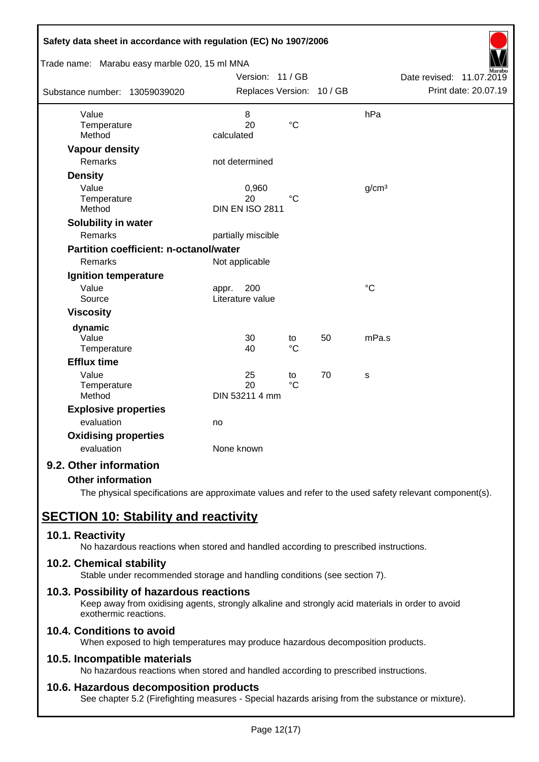| Safety data sheet in accordance with regulation (EC) No 1907/2006 |                           |                 |    |                   |                             |
|-------------------------------------------------------------------|---------------------------|-----------------|----|-------------------|-----------------------------|
| Trade name: Marabu easy marble 020, 15 ml MNA                     |                           |                 |    |                   |                             |
|                                                                   | Version: 11 / GB          |                 |    |                   | Date revised:<br>11.07.2019 |
| Substance number: 13059039020                                     | Replaces Version: 10 / GB |                 |    |                   | Print date: 20.07.19        |
| Value                                                             | 8                         |                 |    | hPa               |                             |
| Temperature                                                       | 20                        | $\rm ^{\circ}C$ |    |                   |                             |
| Method                                                            | calculated                |                 |    |                   |                             |
| <b>Vapour density</b>                                             |                           |                 |    |                   |                             |
| <b>Remarks</b>                                                    | not determined            |                 |    |                   |                             |
| <b>Density</b>                                                    |                           |                 |    |                   |                             |
| Value                                                             | 0,960                     |                 |    | g/cm <sup>3</sup> |                             |
| Temperature                                                       | 20                        | $^{\circ}C$     |    |                   |                             |
| Method                                                            | <b>DIN EN ISO 2811</b>    |                 |    |                   |                             |
| Solubility in water                                               |                           |                 |    |                   |                             |
| Remarks                                                           | partially miscible        |                 |    |                   |                             |
| <b>Partition coefficient: n-octanol/water</b>                     |                           |                 |    |                   |                             |
| Remarks                                                           | Not applicable            |                 |    |                   |                             |
| Ignition temperature                                              |                           |                 |    |                   |                             |
| Value                                                             | 200<br>appr.              |                 |    | $\rm ^{\circ}C$   |                             |
| Source                                                            | Literature value          |                 |    |                   |                             |
| <b>Viscosity</b>                                                  |                           |                 |    |                   |                             |
| dynamic                                                           |                           |                 |    |                   |                             |
| Value                                                             | 30                        | to              | 50 | mPa.s             |                             |
| Temperature                                                       | 40                        | $\rm ^{\circ}C$ |    |                   |                             |
| <b>Efflux time</b>                                                |                           |                 |    |                   |                             |
| Value                                                             | 25                        | to              | 70 | S                 |                             |
| Temperature                                                       | 20                        | $\rm ^{\circ}C$ |    |                   |                             |
| Method                                                            | DIN 53211 4 mm            |                 |    |                   |                             |
| <b>Explosive properties</b>                                       |                           |                 |    |                   |                             |
| evaluation                                                        | no                        |                 |    |                   |                             |
| <b>Oxidising properties</b>                                       |                           |                 |    |                   |                             |
| evaluation                                                        | None known                |                 |    |                   |                             |
| 9.2. Other information                                            |                           |                 |    |                   |                             |

### **Other information**

The physical specifications are approximate values and refer to the used safety relevant component(s).

# **SECTION 10: Stability and reactivity**

### **10.1. Reactivity**

No hazardous reactions when stored and handled according to prescribed instructions.

### **10.2. Chemical stability**

Stable under recommended storage and handling conditions (see section 7).

### **10.3. Possibility of hazardous reactions**

Keep away from oxidising agents, strongly alkaline and strongly acid materials in order to avoid exothermic reactions.

# **10.4. Conditions to avoid**

When exposed to high temperatures may produce hazardous decomposition products.

### **10.5. Incompatible materials**

No hazardous reactions when stored and handled according to prescribed instructions.

### **10.6. Hazardous decomposition products**

See chapter 5.2 (Firefighting measures - Special hazards arising from the substance or mixture).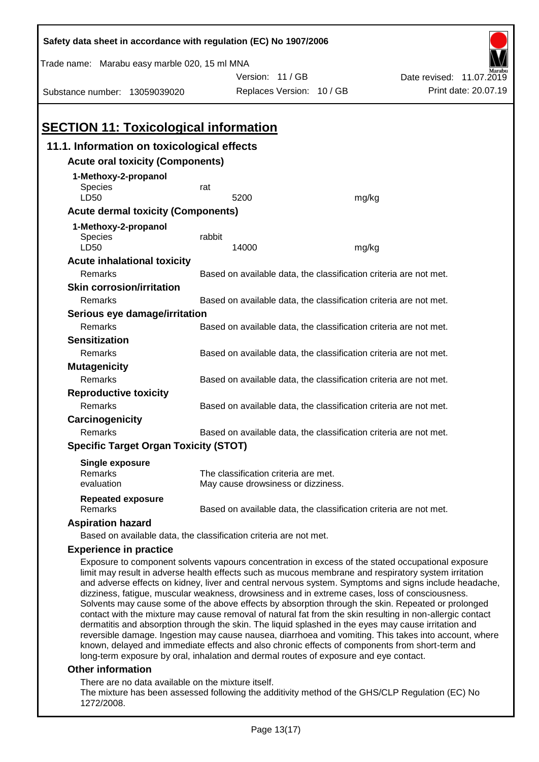| Safety data sheet in accordance with regulation (EC) No 1907/2006                                                                                                                                                                                                                                                                                                                                                                                                                                                          |                                                                   |                                                                   |       |                                                                                                                                                                                                                                                                                                                             |  |  |  |  |
|----------------------------------------------------------------------------------------------------------------------------------------------------------------------------------------------------------------------------------------------------------------------------------------------------------------------------------------------------------------------------------------------------------------------------------------------------------------------------------------------------------------------------|-------------------------------------------------------------------|-------------------------------------------------------------------|-------|-----------------------------------------------------------------------------------------------------------------------------------------------------------------------------------------------------------------------------------------------------------------------------------------------------------------------------|--|--|--|--|
| Trade name: Marabu easy marble 020, 15 ml MNA                                                                                                                                                                                                                                                                                                                                                                                                                                                                              |                                                                   |                                                                   |       |                                                                                                                                                                                                                                                                                                                             |  |  |  |  |
|                                                                                                                                                                                                                                                                                                                                                                                                                                                                                                                            |                                                                   | Version: 11 / GB                                                  |       | Date revised: 11.07.2019                                                                                                                                                                                                                                                                                                    |  |  |  |  |
| Substance number: 13059039020                                                                                                                                                                                                                                                                                                                                                                                                                                                                                              |                                                                   | Replaces Version: 10 / GB                                         |       | Print date: 20.07.19                                                                                                                                                                                                                                                                                                        |  |  |  |  |
|                                                                                                                                                                                                                                                                                                                                                                                                                                                                                                                            |                                                                   |                                                                   |       |                                                                                                                                                                                                                                                                                                                             |  |  |  |  |
| <b>SECTION 11: Toxicological information</b>                                                                                                                                                                                                                                                                                                                                                                                                                                                                               |                                                                   |                                                                   |       |                                                                                                                                                                                                                                                                                                                             |  |  |  |  |
| 11.1. Information on toxicological effects                                                                                                                                                                                                                                                                                                                                                                                                                                                                                 |                                                                   |                                                                   |       |                                                                                                                                                                                                                                                                                                                             |  |  |  |  |
| <b>Acute oral toxicity (Components)</b>                                                                                                                                                                                                                                                                                                                                                                                                                                                                                    |                                                                   |                                                                   |       |                                                                                                                                                                                                                                                                                                                             |  |  |  |  |
| 1-Methoxy-2-propanol                                                                                                                                                                                                                                                                                                                                                                                                                                                                                                       |                                                                   |                                                                   |       |                                                                                                                                                                                                                                                                                                                             |  |  |  |  |
| Species                                                                                                                                                                                                                                                                                                                                                                                                                                                                                                                    | rat                                                               |                                                                   |       |                                                                                                                                                                                                                                                                                                                             |  |  |  |  |
| LD50                                                                                                                                                                                                                                                                                                                                                                                                                                                                                                                       |                                                                   | 5200                                                              | mg/kg |                                                                                                                                                                                                                                                                                                                             |  |  |  |  |
| <b>Acute dermal toxicity (Components)</b>                                                                                                                                                                                                                                                                                                                                                                                                                                                                                  |                                                                   |                                                                   |       |                                                                                                                                                                                                                                                                                                                             |  |  |  |  |
| 1-Methoxy-2-propanol                                                                                                                                                                                                                                                                                                                                                                                                                                                                                                       |                                                                   |                                                                   |       |                                                                                                                                                                                                                                                                                                                             |  |  |  |  |
| Species                                                                                                                                                                                                                                                                                                                                                                                                                                                                                                                    | rabbit                                                            |                                                                   |       |                                                                                                                                                                                                                                                                                                                             |  |  |  |  |
| LD50                                                                                                                                                                                                                                                                                                                                                                                                                                                                                                                       |                                                                   | 14000                                                             | mg/kg |                                                                                                                                                                                                                                                                                                                             |  |  |  |  |
| <b>Acute inhalational toxicity</b>                                                                                                                                                                                                                                                                                                                                                                                                                                                                                         |                                                                   | Based on available data, the classification criteria are not met. |       |                                                                                                                                                                                                                                                                                                                             |  |  |  |  |
| Remarks<br><b>Skin corrosion/irritation</b>                                                                                                                                                                                                                                                                                                                                                                                                                                                                                |                                                                   |                                                                   |       |                                                                                                                                                                                                                                                                                                                             |  |  |  |  |
| Remarks                                                                                                                                                                                                                                                                                                                                                                                                                                                                                                                    |                                                                   | Based on available data, the classification criteria are not met. |       |                                                                                                                                                                                                                                                                                                                             |  |  |  |  |
| Serious eye damage/irritation                                                                                                                                                                                                                                                                                                                                                                                                                                                                                              |                                                                   |                                                                   |       |                                                                                                                                                                                                                                                                                                                             |  |  |  |  |
| Remarks                                                                                                                                                                                                                                                                                                                                                                                                                                                                                                                    |                                                                   | Based on available data, the classification criteria are not met. |       |                                                                                                                                                                                                                                                                                                                             |  |  |  |  |
| <b>Sensitization</b>                                                                                                                                                                                                                                                                                                                                                                                                                                                                                                       |                                                                   |                                                                   |       |                                                                                                                                                                                                                                                                                                                             |  |  |  |  |
| Remarks                                                                                                                                                                                                                                                                                                                                                                                                                                                                                                                    |                                                                   | Based on available data, the classification criteria are not met. |       |                                                                                                                                                                                                                                                                                                                             |  |  |  |  |
| <b>Mutagenicity</b>                                                                                                                                                                                                                                                                                                                                                                                                                                                                                                        |                                                                   |                                                                   |       |                                                                                                                                                                                                                                                                                                                             |  |  |  |  |
| Remarks                                                                                                                                                                                                                                                                                                                                                                                                                                                                                                                    |                                                                   | Based on available data, the classification criteria are not met. |       |                                                                                                                                                                                                                                                                                                                             |  |  |  |  |
| <b>Reproductive toxicity</b>                                                                                                                                                                                                                                                                                                                                                                                                                                                                                               |                                                                   |                                                                   |       |                                                                                                                                                                                                                                                                                                                             |  |  |  |  |
| Remarks                                                                                                                                                                                                                                                                                                                                                                                                                                                                                                                    | Based on available data, the classification criteria are not met. |                                                                   |       |                                                                                                                                                                                                                                                                                                                             |  |  |  |  |
| Carcinogenicity                                                                                                                                                                                                                                                                                                                                                                                                                                                                                                            |                                                                   |                                                                   |       |                                                                                                                                                                                                                                                                                                                             |  |  |  |  |
| Based on available data, the classification criteria are not met.<br>Remarks                                                                                                                                                                                                                                                                                                                                                                                                                                               |                                                                   |                                                                   |       |                                                                                                                                                                                                                                                                                                                             |  |  |  |  |
| <b>Specific Target Organ Toxicity (STOT)</b>                                                                                                                                                                                                                                                                                                                                                                                                                                                                               |                                                                   |                                                                   |       |                                                                                                                                                                                                                                                                                                                             |  |  |  |  |
| <b>Single exposure</b>                                                                                                                                                                                                                                                                                                                                                                                                                                                                                                     |                                                                   |                                                                   |       |                                                                                                                                                                                                                                                                                                                             |  |  |  |  |
| Remarks                                                                                                                                                                                                                                                                                                                                                                                                                                                                                                                    |                                                                   | The classification criteria are met.                              |       |                                                                                                                                                                                                                                                                                                                             |  |  |  |  |
| evaluation                                                                                                                                                                                                                                                                                                                                                                                                                                                                                                                 |                                                                   | May cause drowsiness or dizziness.                                |       |                                                                                                                                                                                                                                                                                                                             |  |  |  |  |
| <b>Repeated exposure</b><br>Remarks                                                                                                                                                                                                                                                                                                                                                                                                                                                                                        | Based on available data, the classification criteria are not met. |                                                                   |       |                                                                                                                                                                                                                                                                                                                             |  |  |  |  |
| <b>Aspiration hazard</b>                                                                                                                                                                                                                                                                                                                                                                                                                                                                                                   |                                                                   |                                                                   |       |                                                                                                                                                                                                                                                                                                                             |  |  |  |  |
| Based on available data, the classification criteria are not met.                                                                                                                                                                                                                                                                                                                                                                                                                                                          |                                                                   |                                                                   |       |                                                                                                                                                                                                                                                                                                                             |  |  |  |  |
| <b>Experience in practice</b>                                                                                                                                                                                                                                                                                                                                                                                                                                                                                              |                                                                   |                                                                   |       |                                                                                                                                                                                                                                                                                                                             |  |  |  |  |
| Exposure to component solvents vapours concentration in excess of the stated occupational exposure<br>limit may result in adverse health effects such as mucous membrane and respiratory system irritation<br>dizziness, fatigue, muscular weakness, drowsiness and in extreme cases, loss of consciousness.<br>Solvents may cause some of the above effects by absorption through the skin. Repeated or prolonged<br>dermatitis and absorption through the skin. The liquid splashed in the eyes may cause irritation and |                                                                   |                                                                   |       | and adverse effects on kidney, liver and central nervous system. Symptoms and signs include headache,<br>contact with the mixture may cause removal of natural fat from the skin resulting in non-allergic contact<br>reversible damage. Ingestion may cause nausea, diarrhoea and vomiting. This takes into account, where |  |  |  |  |

### **Other information**

There are no data available on the mixture itself.

The mixture has been assessed following the additivity method of the GHS/CLP Regulation (EC) No 1272/2008.

known, delayed and immediate effects and also chronic effects of components from short-term and

long-term exposure by oral, inhalation and dermal routes of exposure and eye contact.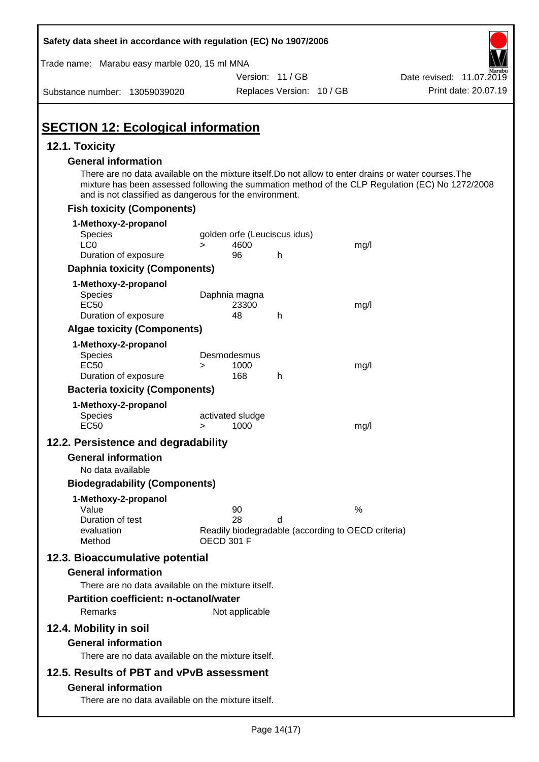| Safety data sheet in accordance with regulation (EC) No 1907/2006                                                                                                                              |                                                                                     |                           |      |                                                                                                  |
|------------------------------------------------------------------------------------------------------------------------------------------------------------------------------------------------|-------------------------------------------------------------------------------------|---------------------------|------|--------------------------------------------------------------------------------------------------|
| Trade name: Marabu easy marble 020, 15 ml MNA                                                                                                                                                  |                                                                                     |                           |      |                                                                                                  |
|                                                                                                                                                                                                |                                                                                     | Version: 11 / GB          |      | Date revised: 11.07.2019                                                                         |
| Substance number: 13059039020                                                                                                                                                                  |                                                                                     | Replaces Version: 10 / GB |      | Print date: 20.07.19                                                                             |
| <b>SECTION 12: Ecological information</b>                                                                                                                                                      |                                                                                     |                           |      |                                                                                                  |
| 12.1. Toxicity                                                                                                                                                                                 |                                                                                     |                           |      |                                                                                                  |
| <b>General information</b><br>There are no data available on the mixture itself. Do not allow to enter drains or water courses. The<br>and is not classified as dangerous for the environment. |                                                                                     |                           |      | mixture has been assessed following the summation method of the CLP Regulation (EC) No 1272/2008 |
| <b>Fish toxicity (Components)</b>                                                                                                                                                              |                                                                                     |                           |      |                                                                                                  |
| 1-Methoxy-2-propanol                                                                                                                                                                           |                                                                                     |                           |      |                                                                                                  |
| Species                                                                                                                                                                                        | golden orfe (Leuciscus idus)                                                        |                           |      |                                                                                                  |
| LC <sub>0</sub><br>Duration of exposure                                                                                                                                                        | 4600<br>$\geq$<br>96                                                                | h                         | mg/l |                                                                                                  |
| <b>Daphnia toxicity (Components)</b>                                                                                                                                                           |                                                                                     |                           |      |                                                                                                  |
|                                                                                                                                                                                                |                                                                                     |                           |      |                                                                                                  |
| 1-Methoxy-2-propanol<br><b>Species</b><br><b>EC50</b><br>Duration of exposure                                                                                                                  | Daphnia magna<br>23300<br>48                                                        | h                         | mg/l |                                                                                                  |
| <b>Algae toxicity (Components)</b>                                                                                                                                                             |                                                                                     |                           |      |                                                                                                  |
| 1-Methoxy-2-propanol<br>Species<br><b>EC50</b>                                                                                                                                                 | Desmodesmus<br>1000<br>>                                                            |                           | mg/l |                                                                                                  |
| Duration of exposure                                                                                                                                                                           | 168                                                                                 | h                         |      |                                                                                                  |
| <b>Bacteria toxicity (Components)</b>                                                                                                                                                          |                                                                                     |                           |      |                                                                                                  |
| 1-Methoxy-2-propanol<br><b>Species</b><br><b>EC50</b>                                                                                                                                          | activated sludge<br>1000<br>>                                                       |                           | mg/l |                                                                                                  |
| 12.2. Persistence and degradability                                                                                                                                                            |                                                                                     |                           |      |                                                                                                  |
| <b>General information</b>                                                                                                                                                                     |                                                                                     |                           |      |                                                                                                  |
| No data available                                                                                                                                                                              |                                                                                     |                           |      |                                                                                                  |
| <b>Biodegradability (Components)</b>                                                                                                                                                           |                                                                                     |                           |      |                                                                                                  |
| 1-Methoxy-2-propanol<br>Value<br>Duration of test<br>evaluation<br>Method                                                                                                                      | 90<br>28<br>Readily biodegradable (according to OECD criteria)<br><b>OECD 301 F</b> | d                         | %    |                                                                                                  |
| 12.3. Bioaccumulative potential<br><b>General information</b>                                                                                                                                  |                                                                                     |                           |      |                                                                                                  |
| There are no data available on the mixture itself.<br><b>Partition coefficient: n-octanol/water</b><br>Remarks                                                                                 | Not applicable                                                                      |                           |      |                                                                                                  |
| 12.4. Mobility in soil<br><b>General information</b><br>There are no data available on the mixture itself.                                                                                     |                                                                                     |                           |      |                                                                                                  |
| 12.5. Results of PBT and vPvB assessment                                                                                                                                                       |                                                                                     |                           |      |                                                                                                  |
| <b>General information</b><br>There are no data available on the mixture itself.                                                                                                               |                                                                                     |                           |      |                                                                                                  |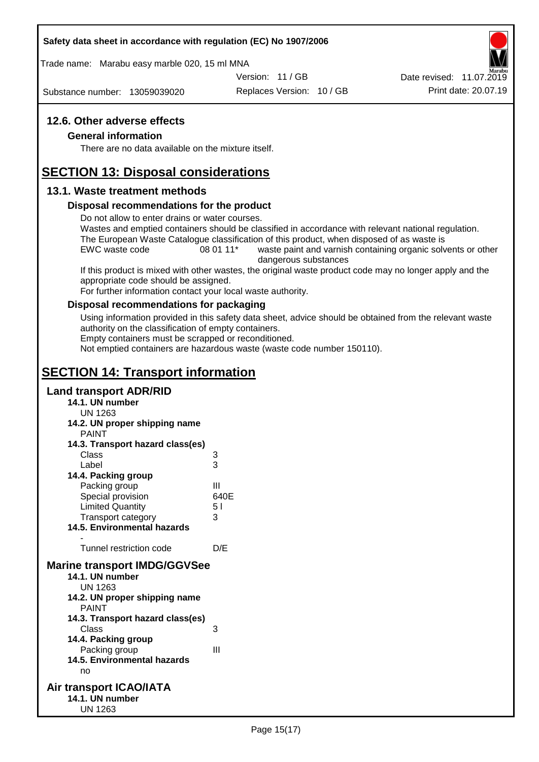Trade name: Marabu easy marble 020, 15 ml MNA

Version: 11 / GB

Substance number: 13059039020

Replaces Version: 10 / GB Print date: 20.07.19 Date revised: 11.07.2019

### **12.6. Other adverse effects**

### **General information**

There are no data available on the mixture itself.

# **SECTION 13: Disposal considerations**

### **13.1. Waste treatment methods**

### **Disposal recommendations for the product**

Do not allow to enter drains or water courses.

Wastes and emptied containers should be classified in accordance with relevant national regulation. The European Waste Catalogue classification of this product, when disposed of as waste is

EWC waste code 08 01 11<sup>\*</sup> waste paint and varnish containing organic solvents or other dangerous substances

If this product is mixed with other wastes, the original waste product code may no longer apply and the appropriate code should be assigned.

For further information contact your local waste authority.

### **Disposal recommendations for packaging**

Using information provided in this safety data sheet, advice should be obtained from the relevant waste authority on the classification of empty containers.

Empty containers must be scrapped or reconditioned.

Not emptied containers are hazardous waste (waste code number 150110).

# **SECTION 14: Transport information**

### **Land transport ADR/RID**

- **14.1. UN number**
	- UN 1263
- **14.2. UN proper shipping name**

| <b>PAINT</b>                                  |      |
|-----------------------------------------------|------|
| 14.3. Transport hazard class(es)              |      |
| Class                                         | 3    |
| Label                                         | 3    |
| 14.4. Packing group                           |      |
| Packing group                                 | Ш    |
| Special provision                             | 640E |
| <b>Limited Quantity</b>                       | 51   |
| <b>Transport category</b>                     | 3    |
| <b>14.5. Environmental hazards</b>            |      |
|                                               |      |
| Tunnel restriction code                       | D/E  |
| <b>Marine transport IMDG/GGVSee</b>           |      |
| 14.1. UN number                               |      |
| UN 1263                                       |      |
| 14.2. UN proper shipping name<br><b>PAINT</b> |      |
| 14.3. Transport hazard class(es)              |      |
| Class                                         | 3    |
| 14.4. Packing group                           |      |
| Packing group                                 | Ш    |
|                                               |      |

**14.5. Environmental hazards** no

### **Air transport ICAO/IATA 14.1. UN number** UN 1263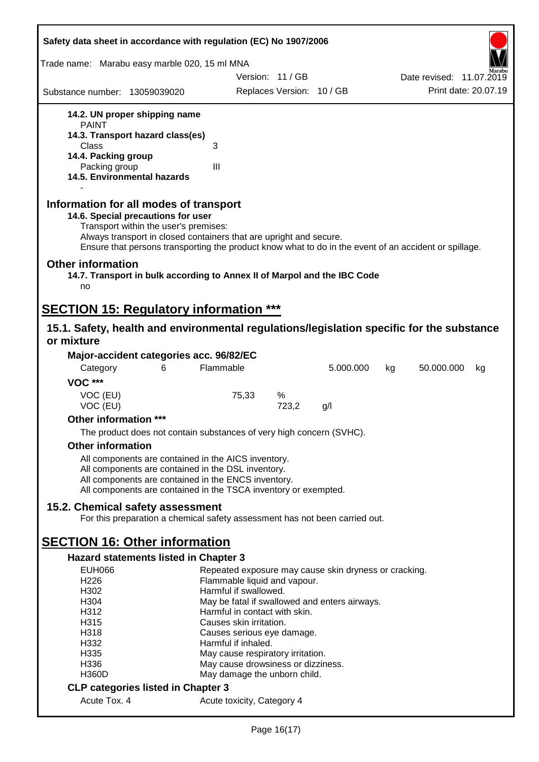| Safety data sheet in accordance with regulation (EC) No 1907/2006                                                                                                                                                                                                                                    |                                                   |                           |                                                       |                          |
|------------------------------------------------------------------------------------------------------------------------------------------------------------------------------------------------------------------------------------------------------------------------------------------------------|---------------------------------------------------|---------------------------|-------------------------------------------------------|--------------------------|
| Trade name: Marabu easy marble 020, 15 ml MNA                                                                                                                                                                                                                                                        |                                                   |                           |                                                       |                          |
|                                                                                                                                                                                                                                                                                                      |                                                   | Version: 11/GB            |                                                       | Date revised: 11.07.2019 |
| Substance number: 13059039020                                                                                                                                                                                                                                                                        |                                                   | Replaces Version: 10 / GB |                                                       | Print date: 20.07.19     |
| 14.2. UN proper shipping name                                                                                                                                                                                                                                                                        |                                                   |                           |                                                       |                          |
| <b>PAINT</b>                                                                                                                                                                                                                                                                                         |                                                   |                           |                                                       |                          |
| 14.3. Transport hazard class(es)<br>Class                                                                                                                                                                                                                                                            | 3                                                 |                           |                                                       |                          |
| 14.4. Packing group                                                                                                                                                                                                                                                                                  |                                                   |                           |                                                       |                          |
| Packing group                                                                                                                                                                                                                                                                                        | III                                               |                           |                                                       |                          |
| 14.5. Environmental hazards                                                                                                                                                                                                                                                                          |                                                   |                           |                                                       |                          |
| Information for all modes of transport<br>14.6. Special precautions for user<br>Transport within the user's premises:<br>Always transport in closed containers that are upright and secure.<br>Ensure that persons transporting the product know what to do in the event of an accident or spillage. |                                                   |                           |                                                       |                          |
| <b>Other information</b><br>14.7. Transport in bulk according to Annex II of Marpol and the IBC Code<br>no                                                                                                                                                                                           |                                                   |                           |                                                       |                          |
|                                                                                                                                                                                                                                                                                                      |                                                   |                           |                                                       |                          |
| <b>SECTION 15: Regulatory information ***</b>                                                                                                                                                                                                                                                        |                                                   |                           |                                                       |                          |
| 15.1. Safety, health and environmental regulations/legislation specific for the substance<br>or mixture                                                                                                                                                                                              |                                                   |                           |                                                       |                          |
| Major-accident categories acc. 96/82/EC                                                                                                                                                                                                                                                              |                                                   |                           |                                                       |                          |
| Category<br>6                                                                                                                                                                                                                                                                                        | Flammable                                         |                           | 5.000.000                                             | 50.000.000<br>kg<br>kg   |
| <b>VOC ***</b>                                                                                                                                                                                                                                                                                       |                                                   |                           |                                                       |                          |
| VOC (EU)                                                                                                                                                                                                                                                                                             | 75,33                                             | %                         |                                                       |                          |
| VOC (EU)                                                                                                                                                                                                                                                                                             |                                                   | 723,2                     | g/l                                                   |                          |
| Other information ***                                                                                                                                                                                                                                                                                |                                                   |                           |                                                       |                          |
| The product does not contain substances of very high concern (SVHC).                                                                                                                                                                                                                                 |                                                   |                           |                                                       |                          |
| <b>Other information</b>                                                                                                                                                                                                                                                                             |                                                   |                           |                                                       |                          |
| All components are contained in the AICS inventory.                                                                                                                                                                                                                                                  |                                                   |                           |                                                       |                          |
| All components are contained in the DSL inventory.<br>All components are contained in the ENCS inventory.                                                                                                                                                                                            |                                                   |                           |                                                       |                          |
| All components are contained in the TSCA inventory or exempted.                                                                                                                                                                                                                                      |                                                   |                           |                                                       |                          |
|                                                                                                                                                                                                                                                                                                      |                                                   |                           |                                                       |                          |
| 15.2. Chemical safety assessment<br>For this preparation a chemical safety assessment has not been carried out.                                                                                                                                                                                      |                                                   |                           |                                                       |                          |
|                                                                                                                                                                                                                                                                                                      |                                                   |                           |                                                       |                          |
| <b>SECTION 16: Other information</b>                                                                                                                                                                                                                                                                 |                                                   |                           |                                                       |                          |
| <b>Hazard statements listed in Chapter 3</b>                                                                                                                                                                                                                                                         |                                                   |                           |                                                       |                          |
| <b>EUH066</b><br>H <sub>226</sub>                                                                                                                                                                                                                                                                    | Flammable liquid and vapour.                      |                           | Repeated exposure may cause skin dryness or cracking. |                          |
| H302                                                                                                                                                                                                                                                                                                 | Harmful if swallowed.                             |                           |                                                       |                          |
| H304                                                                                                                                                                                                                                                                                                 |                                                   |                           | May be fatal if swallowed and enters airways.         |                          |
| H312                                                                                                                                                                                                                                                                                                 | Harmful in contact with skin.                     |                           |                                                       |                          |
| H315                                                                                                                                                                                                                                                                                                 | Causes skin irritation.                           |                           |                                                       |                          |
| H318<br>H332                                                                                                                                                                                                                                                                                         | Causes serious eye damage.<br>Harmful if inhaled. |                           |                                                       |                          |
| H335                                                                                                                                                                                                                                                                                                 | May cause respiratory irritation.                 |                           |                                                       |                          |
| H336                                                                                                                                                                                                                                                                                                 | May cause drowsiness or dizziness.                |                           |                                                       |                          |
| <b>H360D</b>                                                                                                                                                                                                                                                                                         | May damage the unborn child.                      |                           |                                                       |                          |
| <b>CLP categories listed in Chapter 3</b>                                                                                                                                                                                                                                                            |                                                   |                           |                                                       |                          |
| Acute Tox. 4                                                                                                                                                                                                                                                                                         | Acute toxicity, Category 4                        |                           |                                                       |                          |